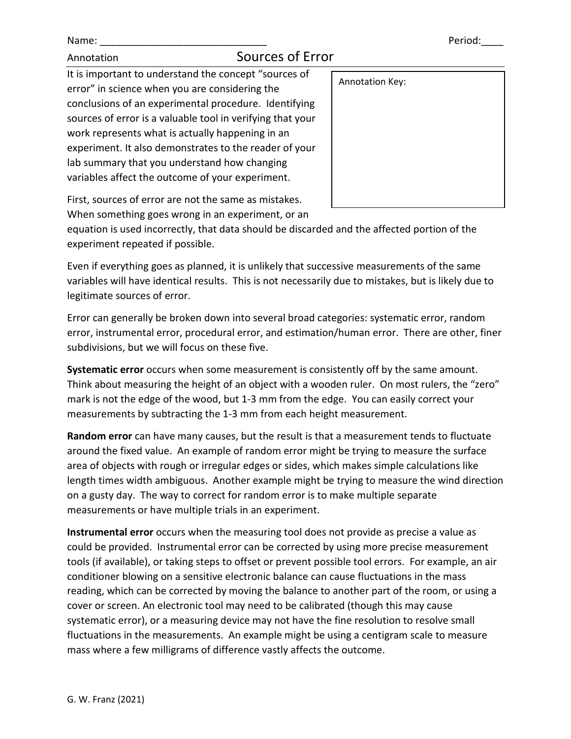## Annotation Sources of Error

It is important to understand the concept "sources of error" in science when you are considering the conclusions of an experimental procedure. Identifying sources of error is a valuable tool in verifying that your work represents what is actually happening in an experiment. It also demonstrates to the reader of your lab summary that you understand how changing variables affect the outcome of your experiment.

| Annotation Key: |  |
|-----------------|--|
|                 |  |
|                 |  |
|                 |  |
|                 |  |
|                 |  |
|                 |  |

First, sources of error are not the same as mistakes.

When something goes wrong in an experiment, or an

equation is used incorrectly, that data should be discarded and the affected portion of the experiment repeated if possible.

Even if everything goes as planned, it is unlikely that successive measurements of the same variables will have identical results. This is not necessarily due to mistakes, but is likely due to legitimate sources of error.

Error can generally be broken down into several broad categories: systematic error, random error, instrumental error, procedural error, and estimation/human error. There are other, finer subdivisions, but we will focus on these five.

**Systematic error** occurs when some measurement is consistently off by the same amount. Think about measuring the height of an object with a wooden ruler. On most rulers, the "zero" mark is not the edge of the wood, but 1-3 mm from the edge. You can easily correct your measurements by subtracting the 1-3 mm from each height measurement.

**Random error** can have many causes, but the result is that a measurement tends to fluctuate around the fixed value. An example of random error might be trying to measure the surface area of objects with rough or irregular edges or sides, which makes simple calculations like length times width ambiguous. Another example might be trying to measure the wind direction on a gusty day. The way to correct for random error is to make multiple separate measurements or have multiple trials in an experiment.

**Instrumental error** occurs when the measuring tool does not provide as precise a value as could be provided. Instrumental error can be corrected by using more precise measurement tools (if available), or taking steps to offset or prevent possible tool errors. For example, an air conditioner blowing on a sensitive electronic balance can cause fluctuations in the mass reading, which can be corrected by moving the balance to another part of the room, or using a cover or screen. An electronic tool may need to be calibrated (though this may cause systematic error), or a measuring device may not have the fine resolution to resolve small fluctuations in the measurements. An example might be using a centigram scale to measure mass where a few milligrams of difference vastly affects the outcome.